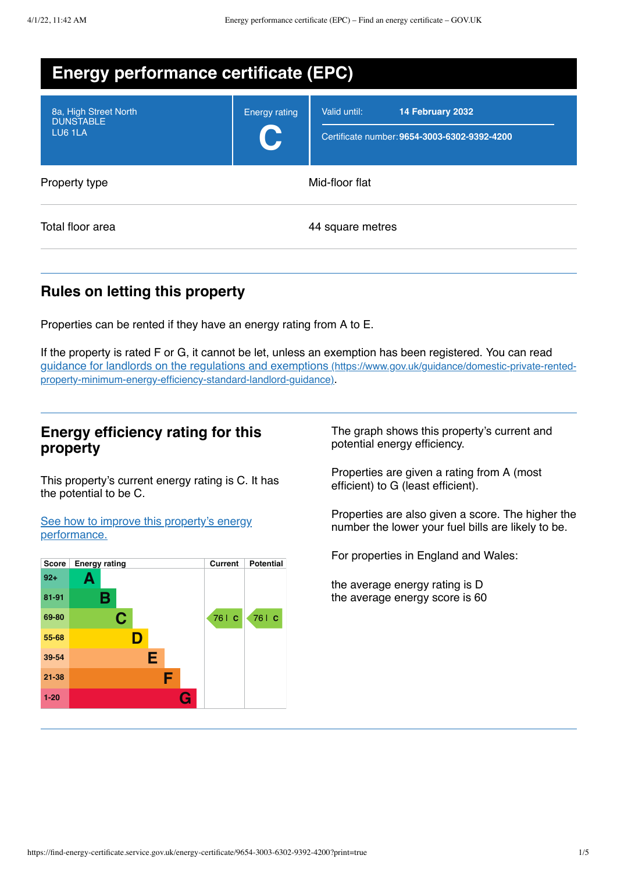| <b>Energy performance certificate (EPC)</b>          |                      |                                                                                  |  |  |
|------------------------------------------------------|----------------------|----------------------------------------------------------------------------------|--|--|
| 8a, High Street North<br><b>DUNSTABLE</b><br>LU6 1LA | <b>Energy rating</b> | Valid until:<br>14 February 2032<br>Certificate number: 9654-3003-6302-9392-4200 |  |  |
| Property type                                        | Mid-floor flat       |                                                                                  |  |  |
| Total floor area                                     |                      | 44 square metres                                                                 |  |  |

# **Rules on letting this property**

Properties can be rented if they have an energy rating from A to E.

If the property is rated F or G, it cannot be let, unless an exemption has been registered. You can read guidance for landlords on the regulations and exemptions (https://www.gov.uk/guidance/domestic-private-rented[property-minimum-energy-efficiency-standard-landlord-guidance\)](https://www.gov.uk/guidance/domestic-private-rented-property-minimum-energy-efficiency-standard-landlord-guidance).

## **Energy efficiency rating for this property**

This property's current energy rating is C. It has the potential to be C.

See how to improve this property's energy [performance.](#page-2-0)



The graph shows this property's current and potential energy efficiency.

Properties are given a rating from A (most efficient) to G (least efficient).

Properties are also given a score. The higher the number the lower your fuel bills are likely to be.

For properties in England and Wales:

the average energy rating is D the average energy score is 60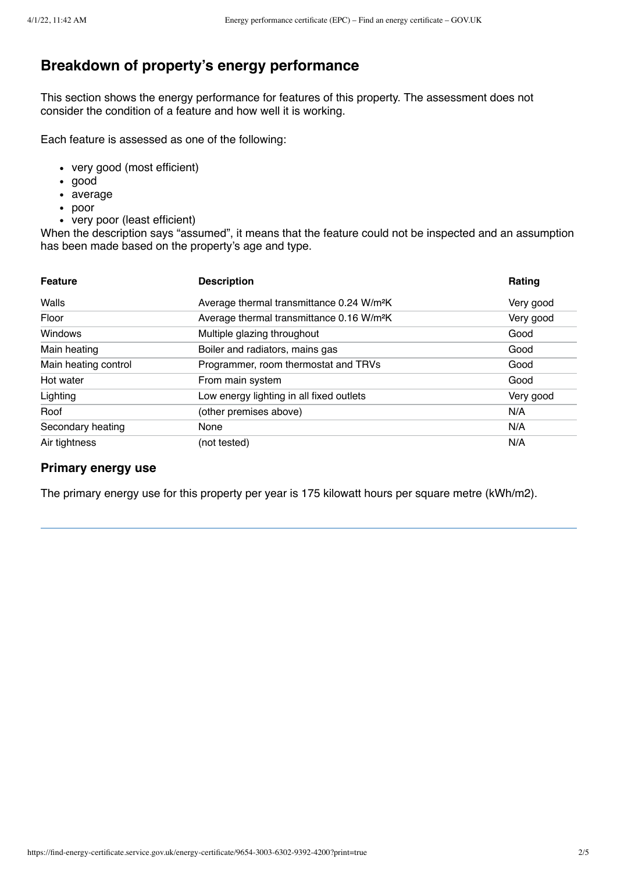# **Breakdown of property's energy performance**

This section shows the energy performance for features of this property. The assessment does not consider the condition of a feature and how well it is working.

Each feature is assessed as one of the following:

- very good (most efficient)
- good
- average
- poor
- very poor (least efficient)

When the description says "assumed", it means that the feature could not be inspected and an assumption has been made based on the property's age and type.

| <b>Feature</b>       | <b>Description</b>                                    | Rating    |
|----------------------|-------------------------------------------------------|-----------|
| Walls                | Average thermal transmittance 0.24 W/m <sup>2</sup> K | Very good |
| Floor                | Average thermal transmittance 0.16 W/m <sup>2</sup> K | Very good |
| Windows              | Multiple glazing throughout                           | Good      |
| Main heating         | Boiler and radiators, mains gas                       | Good      |
| Main heating control | Programmer, room thermostat and TRVs                  | Good      |
| Hot water            | From main system                                      | Good      |
| Lighting             | Low energy lighting in all fixed outlets              | Very good |
| Roof                 | (other premises above)                                | N/A       |
| Secondary heating    | None                                                  | N/A       |
| Air tightness        | (not tested)                                          | N/A       |

#### **Primary energy use**

The primary energy use for this property per year is 175 kilowatt hours per square metre (kWh/m2).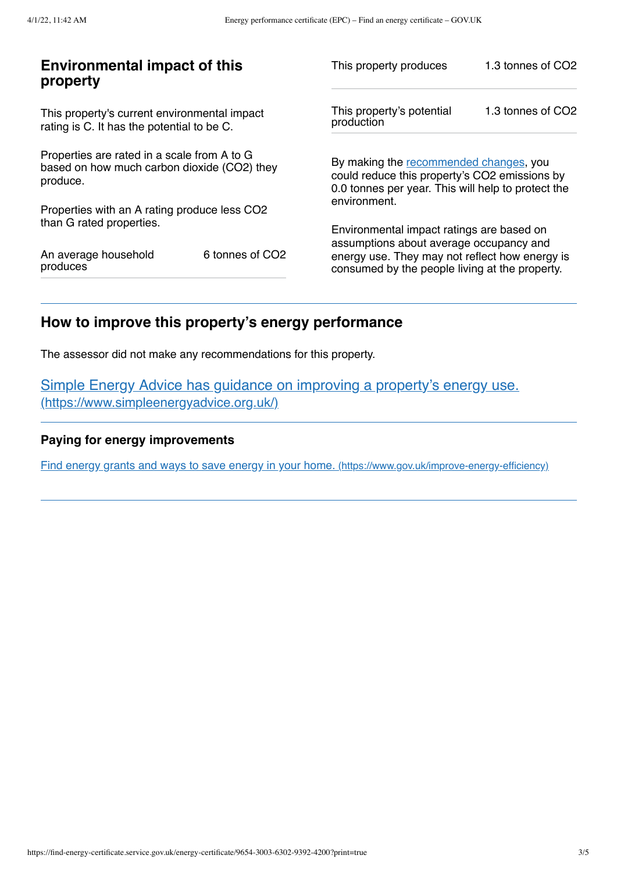| <b>Environmental impact of this</b><br>property                                                        |                 | This property produces                                                                                                                                                                   | 1.3 tonnes of CO2 |
|--------------------------------------------------------------------------------------------------------|-----------------|------------------------------------------------------------------------------------------------------------------------------------------------------------------------------------------|-------------------|
| This property's current environmental impact<br>rating is C. It has the potential to be C.             |                 | This property's potential<br>production                                                                                                                                                  | 1.3 tonnes of CO2 |
| Properties are rated in a scale from A to G<br>based on how much carbon dioxide (CO2) they<br>produce. |                 | By making the recommended changes, you<br>could reduce this property's CO2 emissions by<br>0.0 tonnes per year. This will help to protect the<br>environment.                            |                   |
| Properties with an A rating produce less CO2<br>than G rated properties.                               |                 |                                                                                                                                                                                          |                   |
| An average household<br>produces                                                                       | 6 tonnes of CO2 | Environmental impact ratings are based on<br>assumptions about average occupancy and<br>energy use. They may not reflect how energy is<br>consumed by the people living at the property. |                   |

# <span id="page-2-0"></span>**How to improve this property's energy performance**

The assessor did not make any recommendations for this property.

Simple Energy Advice has guidance on improving a property's energy use. [\(https://www.simpleenergyadvice.org.uk/\)](https://www.simpleenergyadvice.org.uk/)

### **Paying for energy improvements**

Find energy grants and ways to save energy in your home. [\(https://www.gov.uk/improve-energy-efficiency\)](https://www.gov.uk/improve-energy-efficiency)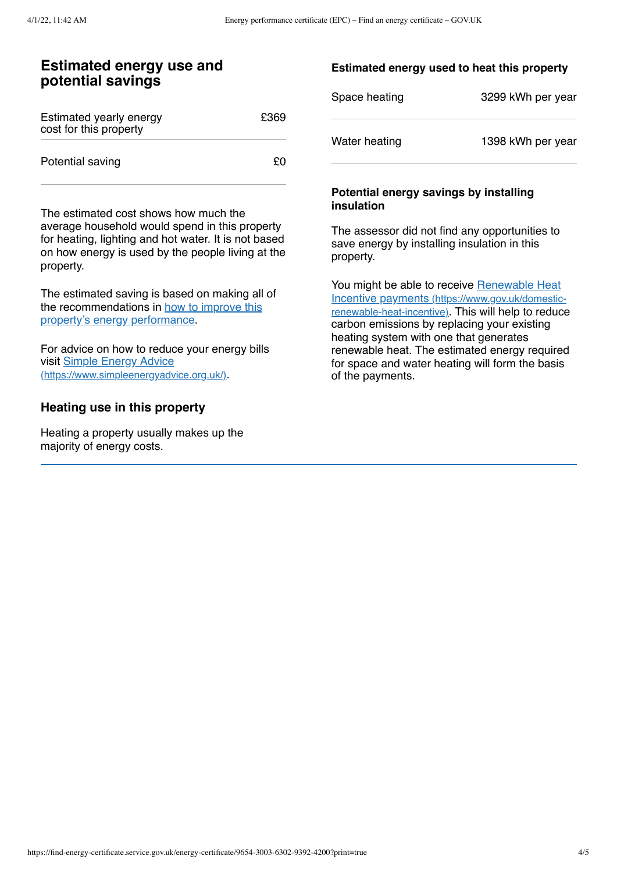### **Estimated energy use and potential savings**

| Estimated yearly energy<br>cost for this property | £369 |
|---------------------------------------------------|------|
| Potential saving                                  | £Ο   |

The estimated cost shows how much the average household would spend in this property for heating, lighting and hot water. It is not based on how energy is used by the people living at the property.

The estimated saving is based on making all of the [recommendations](#page-2-0) in how to improve this property's energy performance.

For advice on how to reduce your energy bills visit Simple Energy Advice [\(https://www.simpleenergyadvice.org.uk/\)](https://www.simpleenergyadvice.org.uk/).

### **Heating use in this property**

Heating a property usually makes up the majority of energy costs.

#### **Estimated energy used to heat this property**

| Space heating | 3299 kWh per year |
|---------------|-------------------|
| Water heating | 1398 kWh per year |

#### **Potential energy savings by installing insulation**

The assessor did not find any opportunities to save energy by installing insulation in this property.

You might be able to receive Renewable Heat Incentive payments [\(https://www.gov.uk/domestic](https://www.gov.uk/domestic-renewable-heat-incentive)renewable-heat-incentive). This will help to reduce carbon emissions by replacing your existing heating system with one that generates renewable heat. The estimated energy required for space and water heating will form the basis of the payments.